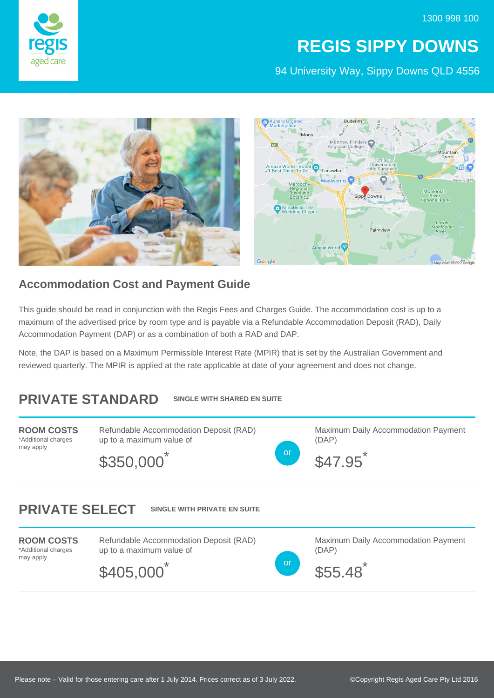

## **REGIS SIPPY DOWNS**

94 University Way, Sippy Downs QLD 4556



## **Accommodation Cost and Payment Guide**

This guide should be read in conjunction with the Regis Fees and Charges Guide. The accommodation cost is up to a maximum of the advertised price by room type and is payable via a Refundable Accommodation Deposit (RAD), Daily Accommodation Payment (DAP) or as a combination of both a RAD and DAP.

Note, the DAP is based on a Maximum Permissible Interest Rate (MPIR) that is set by the Australian Government and reviewed quarterly. The MPIR is applied at the rate applicable at date of your agreement and does not change.

## **PRIVATE STANDARD SINGLE WITH SHARED EN SUITE**